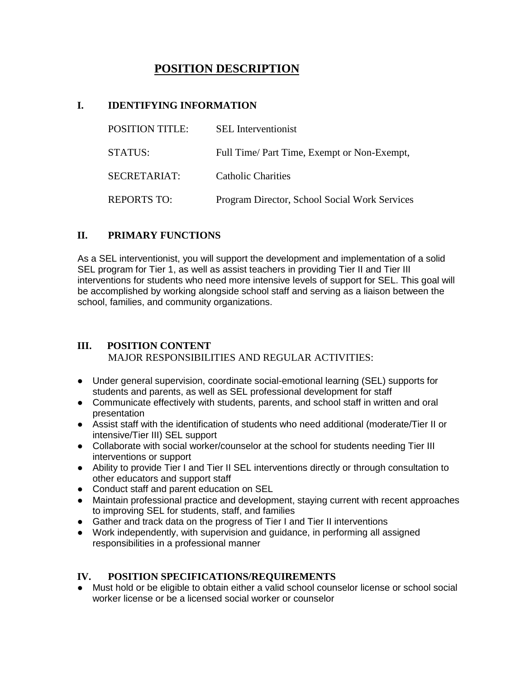# **POSITION DESCRIPTION**

#### **I. IDENTIFYING INFORMATION**

| <b>POSITION TITLE:</b> | <b>SEL</b> Interventionist                    |
|------------------------|-----------------------------------------------|
| <b>STATUS:</b>         | Full Time/ Part Time, Exempt or Non-Exempt,   |
| SECRETARIAT:           | Catholic Charities                            |
| <b>REPORTS TO:</b>     | Program Director, School Social Work Services |

## **II. PRIMARY FUNCTIONS**

 As a SEL interventionist, you will support the development and implementation of a solid SEL program for Tier 1, as well as assist teachers in providing Tier II and Tier III interventions for students who need more intensive levels of support for SEL. This goal will be accomplished by working alongside school staff and serving as a liaison between the school, families, and community organizations.

## **III. POSITION CONTENT** MAJOR RESPONSIBILITIES AND REGULAR ACTIVITIES:

- Under general supervision, coordinate social-emotional learning (SEL) supports for students and parents, as well as SEL professional development for staff
- Communicate effectively with students, parents, and school staff in written and oral presentation
- Assist staff with the identification of students who need additional (moderate/Tier II or intensive/Tier III) SEL support
- Collaborate with social worker/counselor at the school for students needing Tier III interventions or support
- Ability to provide Tier I and Tier II SEL interventions directly or through consultation to other educators and support staff
- Conduct staff and parent education on SEL
- Maintain professional practice and development, staying current with recent approaches to improving SEL for students, staff, and families
- Gather and track data on the progress of Tier I and Tier II interventions
- Work independently, with supervision and guidance, in performing all assigned responsibilities in a professional manner

#### **IV. POSITION SPECIFICATIONS/REQUIREMENTS**

● Must hold or be eligible to obtain either a valid school counselor license or school social worker license or be a licensed social worker or counselor